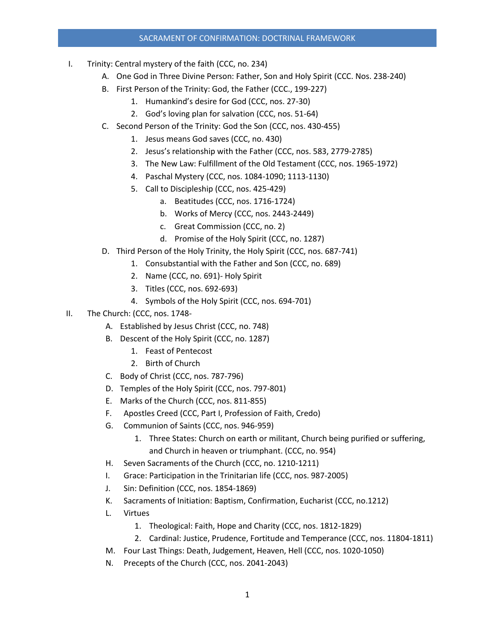## SACRAMENT OF CONFIRMATION: DOCTRINAL FRAMEWORK

- I. Trinity: Central mystery of the faith (CCC, no. 234)
	- A. One God in Three Divine Person: Father, Son and Holy Spirit (CCC. Nos. 238-240)
	- B. First Person of the Trinity: God, the Father (CCC., 199-227)
		- 1. Humankind's desire for God (CCC, nos. 27-30)
		- 2. God's loving plan for salvation (CCC, nos. 51-64)
	- C. Second Person of the Trinity: God the Son (CCC, nos. 430-455)
		- 1. Jesus means God saves (CCC, no. 430)
		- 2. Jesus's relationship with the Father (CCC, nos. 583, 2779-2785)
		- 3. The New Law: Fulfillment of the Old Testament (CCC, nos. 1965-1972)
		- 4. Paschal Mystery (CCC, nos. 1084-1090; 1113-1130)
		- 5. Call to Discipleship (CCC, nos. 425-429)
			- a. Beatitudes (CCC, nos. 1716-1724)
			- b. Works of Mercy (CCC, nos. 2443-2449)
			- c. Great Commission (CCC, no. 2)
			- d. Promise of the Holy Spirit (CCC, no. 1287)
	- D. Third Person of the Holy Trinity, the Holy Spirit (CCC, nos. 687-741)
		- 1. Consubstantial with the Father and Son (CCC, no. 689)
		- 2. Name (CCC, no. 691)- Holy Spirit
		- 3. Titles (CCC, nos. 692-693)
		- 4. Symbols of the Holy Spirit (CCC, nos. 694-701)
- II. The Church: (CCC, nos. 1748-
	- A. Established by Jesus Christ (CCC, no. 748)
	- B. Descent of the Holy Spirit (CCC, no. 1287)
		- 1. Feast of Pentecost
		- 2. Birth of Church
	- C. Body of Christ (CCC, nos. 787-796)
	- D. Temples of the Holy Spirit (CCC, nos. 797-801)
	- E. Marks of the Church (CCC, nos. 811-855)
	- F. Apostles Creed (CCC, Part I, Profession of Faith, Credo)
	- G. Communion of Saints (CCC, nos. 946-959)
		- 1. Three States: Church on earth or militant, Church being purified or suffering, and Church in heaven or triumphant. (CCC, no. 954)
	- H. Seven Sacraments of the Church (CCC, no. 1210-1211)
	- I. Grace: Participation in the Trinitarian life (CCC, nos. 987-2005)
	- J. Sin: Definition (CCC, nos. 1854-1869)
	- K. Sacraments of Initiation: Baptism, Confirmation, Eucharist (CCC, no.1212)
	- L. Virtues
		- 1. Theological: Faith, Hope and Charity (CCC, nos. 1812-1829)
		- 2. Cardinal: Justice, Prudence, Fortitude and Temperance (CCC, nos. 11804-1811)
	- M. Four Last Things: Death, Judgement, Heaven, Hell (CCC, nos. 1020-1050)
	- N. Precepts of the Church (CCC, nos. 2041-2043)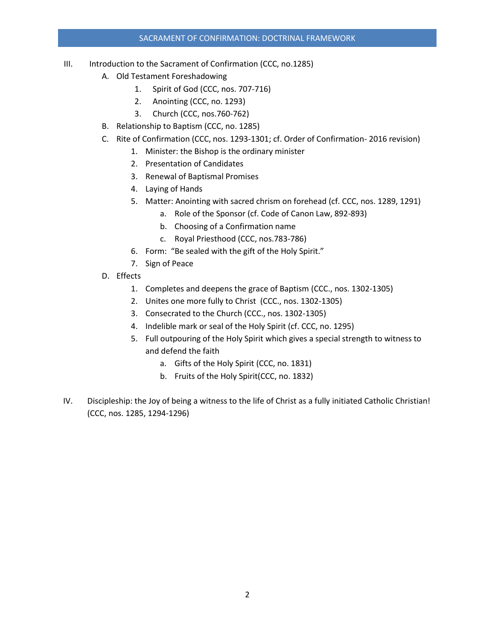## SACRAMENT OF CONFIRMATION: DOCTRINAL FRAMEWORK

- III. Introduction to the Sacrament of Confirmation (CCC, no.1285)
	- A. Old Testament Foreshadowing
		- 1. Spirit of God (CCC, nos. 707-716)
		- 2. Anointing (CCC, no. 1293)
		- 3. Church (CCC, nos.760-762)
	- B. Relationship to Baptism (CCC, no. 1285)
	- C. Rite of Confirmation (CCC, nos. 1293-1301; cf. Order of Confirmation- 2016 revision)
		- 1. Minister: the Bishop is the ordinary minister
		- 2. Presentation of Candidates
		- 3. Renewal of Baptismal Promises
		- 4. Laying of Hands
		- 5. Matter: Anointing with sacred chrism on forehead (cf. CCC, nos. 1289, 1291)
			- a. Role of the Sponsor (cf. Code of Canon Law, 892-893)
			- b. Choosing of a Confirmation name
			- c. Royal Priesthood (CCC, nos.783-786)
		- 6. Form: "Be sealed with the gift of the Holy Spirit."
		- 7. Sign of Peace
	- D. Effects
		- 1. Completes and deepens the grace of Baptism (CCC., nos. 1302-1305)
		- 2. Unites one more fully to Christ (CCC., nos. 1302-1305)
		- 3. Consecrated to the Church (CCC., nos. 1302-1305)
		- 4. Indelible mark or seal of the Holy Spirit (cf. CCC, no. 1295)
		- 5. Full outpouring of the Holy Spirit which gives a special strength to witness to and defend the faith
			- a. Gifts of the Holy Spirit (CCC, no. 1831)
			- b. Fruits of the Holy Spirit(CCC, no. 1832)
- IV. Discipleship: the Joy of being a witness to the life of Christ as a fully initiated Catholic Christian! (CCC, nos. 1285, 1294-1296)